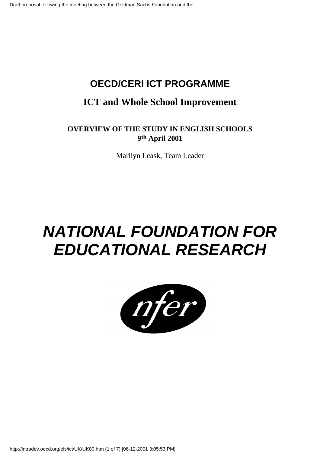### **OECD/CERI ICT PROGRAMME**

### **ICT and Whole School Improvement**

#### **OVERVIEW OF THE STUDY IN ENGLISH SCHOOLS 9th April 2001**

Marilyn Leask, Team Leader

## **NATIONAL FOUNDATION FOR EDUCATIONAL RESEARCH**

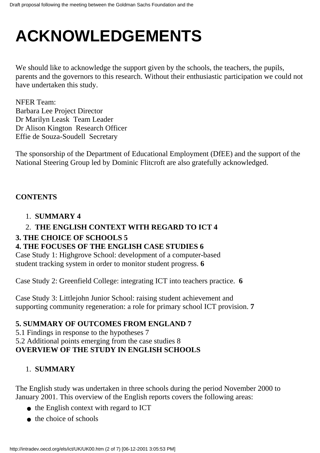# **ACKNOWLEDGEMENTS**

We should like to acknowledge the support given by the schools, the teachers, the pupils, parents and the governors to this research. Without their enthusiastic participation we could not have undertaken this study.

NFER Team: Barbara Lee Project Director Dr Marilyn Leask Team Leader Dr Alison Kington Research Officer Effie de Souza-Soudell Secretary

The sponsorship of the Department of Educational Employment (DfEE) and the support of the National Steering Group led by Dominic Flitcroft are also gratefully acknowledged.

#### **CONTENTS**

#### 1. **SUMMARY 4**

#### 2. **THE ENGLISH CONTEXT WITH REGARD TO ICT 4**

#### **3. THE CHOICE OF SCHOOLS 5**

#### **4. THE FOCUSES OF THE ENGLISH CASE STUDIES 6**

Case Study 1: Highgrove School: development of a computer-based student tracking system in order to monitor student progress. **6**

Case Study 2: Greenfield College: integrating ICT into teachers practice. **6**

Case Study 3: Littlejohn Junior School: raising student achievement and supporting community regeneration: a role for primary school ICT provision. **7**

#### **5. SUMMARY OF OUTCOMES FROM ENGLAND 7**

5.1 Findings in response to the hypotheses 7 5.2 Additional points emerging from the case studies 8 **OVERVIEW OF THE STUDY IN ENGLISH SCHOOLS**

#### 1. **SUMMARY**

The English study was undertaken in three schools during the period November 2000 to January 2001. This overview of the English reports covers the following areas:

- the English context with regard to ICT
- $\bullet$  the choice of schools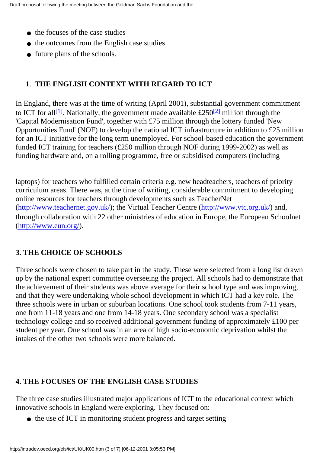- the focuses of the case studies
- the outcomes from the English case studies
- future plans of the schools.

#### 1. **THE ENGLISH CONTEXT WITH REGARD TO ICT**

In England, there was at the time of writing (April 2001), substantial government commitment to ICT for all<sup>[1]</sup>. Nationally, the government made available £250<sup>[2]</sup> million through the 'Capital Modernisation Fund', together with £75 million through the lottery funded 'New Opportunities Fund' (NOF) to develop the national ICT infrastructure in addition to £25 million for an ICT initiative for the long term unemployed. For school-based education the government funded ICT training for teachers (£250 million through NOF during 1999-2002) as well as funding hardware and, on a rolling programme, free or subsidised computers (including

laptops) for teachers who fulfilled certain criteria e.g. new headteachers, teachers of priority curriculum areas. There was, at the time of writing, considerable commitment to developing online resources for teachers through developments such as TeacherNet (<http://www.teachernet.gov.uk/>); the Virtual Teacher Centre [\(http://www.vtc.org.uk/](http://www.vtc.org.uk/)) and, through collaboration with 22 other ministries of education in Europe, the European Schoolnet (<http://www.eun.org/>).

#### **3. THE CHOICE OF SCHOOLS**

Three schools were chosen to take part in the study. These were selected from a long list drawn up by the national expert committee overseeing the project. All schools had to demonstrate that the achievement of their students was above average for their school type and was improving, and that they were undertaking whole school development in which ICT had a key role. The three schools were in urban or suburban locations. One school took students from 7-11 years, one from 11-18 years and one from 14-18 years. One secondary school was a specialist technology college and so received additional government funding of approximately £100 per student per year. One school was in an area of high socio-economic deprivation whilst the intakes of the other two schools were more balanced.

#### **4. THE FOCUSES OF THE ENGLISH CASE STUDIES**

The three case studies illustrated major applications of ICT to the educational context which innovative schools in England were exploring. They focused on:

• the use of ICT in monitoring student progress and target setting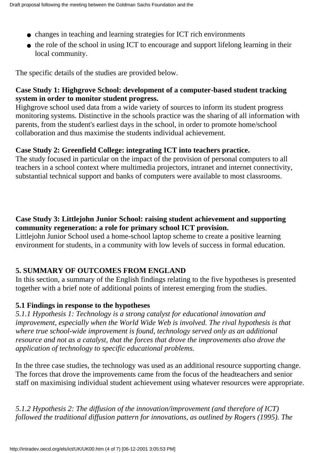- changes in teaching and learning strategies for ICT rich environments
- the role of the school in using ICT to encourage and support lifelong learning in their local community.

The specific details of the studies are provided below.

#### **Case Study 1: Highgrove School: development of a computer-based student tracking system in order to monitor student progress.**

Highgrove school used data from a wide variety of sources to inform its student progress monitoring systems. Distinctive in the school s practice was the sharing of all information with parents, from the student's earliest days in the school, in order to promote home/school collaboration and thus maximise the student s individual achievement.

#### **Case Study 2: Greenfield College: integrating ICT into teachers practice.**

The study focused in particular on the impact of the provision of personal computers to all teachers in a school context where multimedia projectors, intranet and internet connectivity, substantial technical support and banks of computers were available to most classrooms.

#### **Case Study 3: Littlejohn Junior School: raising student achievement and supporting community regeneration: a role for primary school ICT provision.**

Littlejohn Junior School used a home-school laptop scheme to create a positive learning environment for students, in a community with low levels of success in formal education.

#### **5. SUMMARY OF OUTCOMES FROM ENGLAND**

In this section, a summary of the English findings relating to the five hypotheses is presented together with a brief note of additional points of interest emerging from the studies.

#### **5.1 Findings in response to the hypotheses**

*5.1.1 Hypothesis 1: Technology is a strong catalyst for educational innovation and improvement, especially when the World Wide Web is involved. The rival hypothesis is that where true school-wide improvement is found, technology served only as an additional resource and not as a catalyst, that the forces that drove the improvements also drove the application of technology to specific educational problems*.

In the three case studies, the technology was used as an additional resource supporting change. The forces that drove the improvements came from the focus of the headteachers and senior staff on maximising individual student achievement using whatever resources were appropriate.

*5.1.2 Hypothesis 2: The diffusion of the innovation/improvement (and therefore of ICT) followed the traditional diffusion pattern for innovations, as outlined by Rogers (1995). The*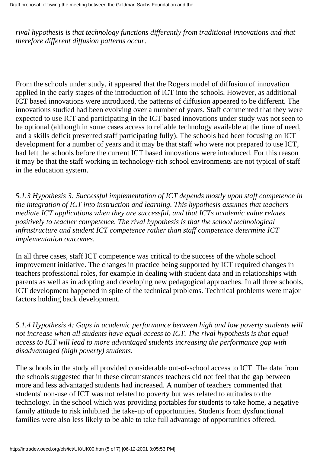*rival hypothesis is that technology functions differently from traditional innovations and that therefore different diffusion patterns occur*.

From the schools under study, it appeared that the Rogers model of diffusion of innovation applied in the early stages of the introduction of ICT into the schools. However, as additional ICT based innovations were introduced, the patterns of diffusion appeared to be different. The innovations studied had been evolving over a number of years. Staff commented that they were expected to use ICT and participating in the ICT based innovations under study was not seen to be optional (although in some cases access to reliable technology available at the time of need, and a skills deficit prevented staff participating fully). The schools had been focusing on ICT development for a number of years and it may be that staff who were not prepared to use ICT, had left the schools before the current ICT based innovations were introduced. For this reason it may be that the staff working in technology-rich school environments are not typical of staff in the education system.

*5.1.3 Hypothesis 3: Successful implementation of ICT depends mostly upon staff competence in the integration of ICT into instruction and learning. This hypothesis assumes that teachers mediate ICT applications when they are successful, and that ICT s academic value relates positively to teacher competence. The rival hypothesis is that the school technological infrastructure and student ICT competence rather than staff competence determine ICT implementation outcomes*.

In all three cases, staff ICT competence was critical to the success of the whole school improvement initiative. The changes in practice being supported by ICT required changes in teachers professional roles, for example in dealing with student data and in relationships with parents as well as in adopting and developing new pedagogical approaches. In all three schools, ICT development happened in spite of the technical problems. Technical problems were major factors holding back development.

*5.1.4 Hypothesis 4: Gaps in academic performance between high and low poverty students will not increase when all students have equal access to ICT. The rival hypothesis is that equal access to ICT will lead to more advantaged students increasing the performance gap with disadvantaged (high poverty) students.*

The schools in the study all provided considerable out-of-school access to ICT. The data from the schools suggested that in these circumstances teachers did not feel that the gap between more and less advantaged students had increased. A number of teachers commented that students' non-use of ICT was not related to poverty but was related to attitudes to the technology. In the school which was providing portables for students to take home, a negative family attitude to risk inhibited the take-up of opportunities. Students from dysfunctional families were also less likely to be able to take full advantage of opportunities offered.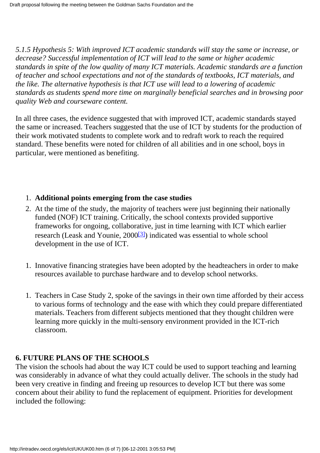*5.1.5 Hypothesis 5: With improved ICT academic standards will stay the same or increase, or decrease? Successful implementation of ICT will lead to the same or higher academic standards in spite of the low quality of many ICT materials. Academic standards are a function of teacher and school expectations and not of the standards of textbooks, ICT materials, and the like. The alternative hypothesis is that ICT use will lead to a lowering of academic standards as students spend more time on marginally beneficial searches and in browsing poor quality Web and courseware content.*

In all three cases, the evidence suggested that with improved ICT, academic standards stayed the same or increased. Teachers suggested that the use of ICT by students for the production of their work motivated students to complete work and to redraft work to reach the required standard. These benefits were noted for children of all abilities and in one school, boys in particular, were mentioned as benefiting.

#### 1. **Additional points emerging from the case studies**

- At the time of the study, the majority of teachers were just beginning their nationally 2. funded (NOF) ICT training. Critically, the school contexts provided supportive frameworks for ongoing, collaborative, just in time learning with ICT which earlier research (Leask and Younie, 2000[\[3\]\)](http://waldorf.eds.udel.edu/oecd/report/cases/UK/UK00.html#fn3) indicated was essential to whole school development in the use of ICT.
- 1. Innovative financing strategies have been adopted by the headteachers in order to make resources available to purchase hardware and to develop school networks.
- 1. Teachers in Case Study 2, spoke of the savings in their own time afforded by their access to various forms of technology and the ease with which they could prepare differentiated materials. Teachers from different subjects mentioned that they thought children were learning more quickly in the multi-sensory environment provided in the ICT-rich classroom.

#### **6. FUTURE PLANS OF THE SCHOOLS**

The vision the schools had about the way ICT could be used to support teaching and learning was considerably in advance of what they could actually deliver. The schools in the study had been very creative in finding and freeing up resources to develop ICT but there was some concern about their ability to fund the replacement of equipment. Priorities for development included the following: